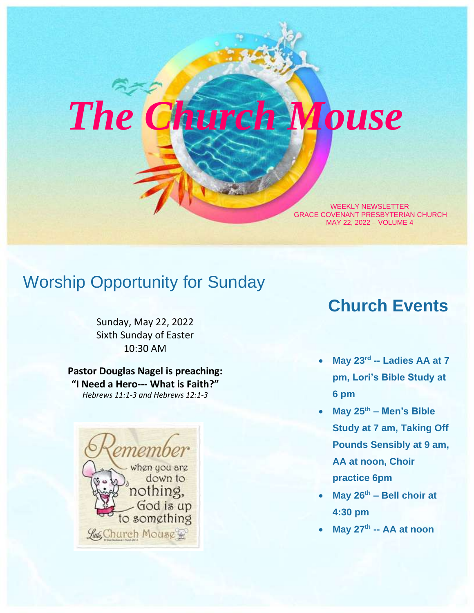# *The Church Mouse*

WEEKLY NEWSLETTER GRACE COVENANT PRESBYTERIAN CHURCH MAY 22, 2022 – VOLUME 4

### Worship Opportunity for Sunday

Sunday, May 22, 2022 Sixth Sunday of Easter 10:30 AM

**Pastor Douglas Nagel is preaching: "I Need a Hero--- What is Faith?"** *Hebrews 11:1-3 and Hebrews 12:1-3*



### **Church Events**

- **May 23rd -- Ladies AA at 7 pm, Lori's Bible Study at 6 pm**
- **May 25th – Men's Bible Study at 7 am, Taking Off Pounds Sensibly at 9 am, AA at noon, Choir practice 6pm**
- **May 26th – Bell choir at 4:30 pm**
- **May 27th -- AA at noon**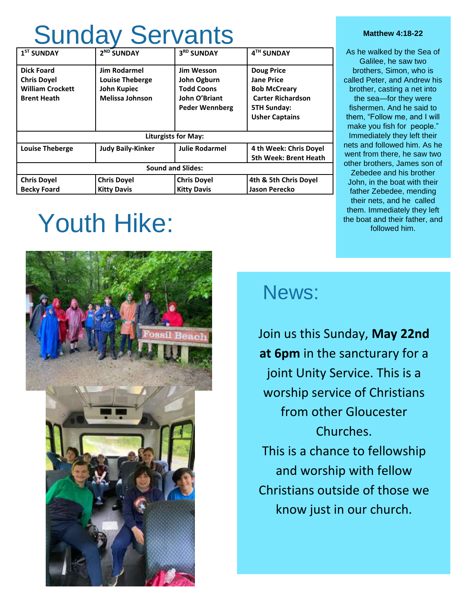## Sunday Servants

| $1ST$ SUNDAY                                                                             | 2 <sup>ND</sup> SUNDAY                                                                 | 3RD SUNDAY                                                                                      | 4TH SUNDAY                                                                                                                               |  |
|------------------------------------------------------------------------------------------|----------------------------------------------------------------------------------------|-------------------------------------------------------------------------------------------------|------------------------------------------------------------------------------------------------------------------------------------------|--|
| <b>Dick Foard</b><br><b>Chris Dovel</b><br><b>William Crockett</b><br><b>Brent Heath</b> | <b>Jim Rodarmel</b><br><b>Louise Theberge</b><br>John Kupiec<br><b>Melissa Johnson</b> | <b>Jim Wesson</b><br>John Ogburn<br><b>Todd Coons</b><br>John O'Briant<br><b>Peder Wennberg</b> | <b>Doug Price</b><br><b>Jane Price</b><br><b>Bob McCreary</b><br><b>Carter Richardson</b><br><b>5TH Sunday:</b><br><b>Usher Captains</b> |  |
| <b>Liturgists for May:</b>                                                               |                                                                                        |                                                                                                 |                                                                                                                                          |  |
| <b>Louise Theberge</b>                                                                   | <b>Judy Baily-Kinker</b>                                                               | <b>Julie Rodarmel</b>                                                                           | 4 th Week: Chris Doyel<br><b>5th Week: Brent Heath</b>                                                                                   |  |
| <b>Sound and Slides:</b>                                                                 |                                                                                        |                                                                                                 |                                                                                                                                          |  |
| <b>Chris Doyel</b><br><b>Becky Foard</b>                                                 | <b>Chris Doyel</b><br><b>Kitty Davis</b>                                               | <b>Chris Doyel</b><br><b>Kitty Davis</b>                                                        | 4th & 5th Chris Doyel<br>Jason Perecko                                                                                                   |  |

## Youth Hike:



### News:

Join us this Sunday, **May 22nd at 6pm** in the sancturary for a joint Unity Service. This is a worship service of Christians from other Gloucester Churches. This is a chance to fellowship and worship with fellow Christians outside of those we know just in our church.

#### **Matthew 4:18-22**

As he walked by the Sea of Galilee, he saw two brothers, Simon, who is called Peter, and Andrew his brother, casting a net into the sea—for they were fishermen. And he said to them, "Follow me, and I will make you fish for people." Immediately they left their nets and followed him. As he went from there, he saw two other brothers, James son of

Zebedee and his brother John, in the boat with their father Zebedee, mending their nets, and he called them. Immediately they left the boat and their father, and followed him.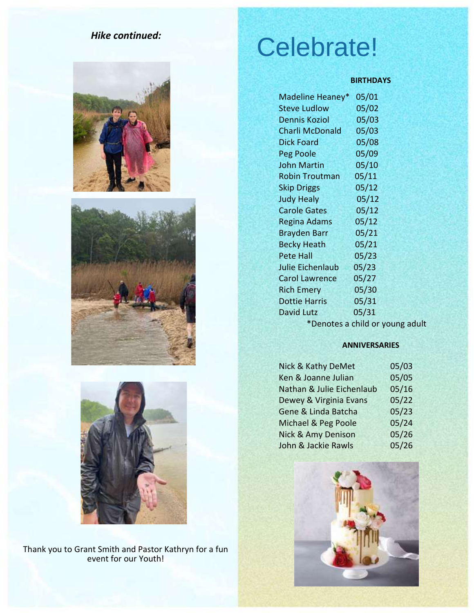### *Hike continued:*







Thank you to Grant Smith and Pastor Kathryn for a fun event for our Youth!

## Celebrate!

### **BIRTHDAYS**

| Madeline Heaney*        | 05/01 |
|-------------------------|-------|
| <b>Steve Ludlow</b>     | 05/02 |
| <b>Dennis Koziol</b>    | 05/03 |
| <b>Charli McDonald</b>  | 05/03 |
| <b>Dick Foard</b>       | 05/08 |
| Peg Poole               | 05/09 |
| <b>John Martin</b>      | 05/10 |
| <b>Robin Troutman</b>   | 05/11 |
| <b>Skip Driggs</b>      | 05/12 |
| <b>Judy Healy</b>       | 05/12 |
| <b>Carole Gates</b>     | 05/12 |
| <b>Regina Adams</b>     | 05/12 |
| <b>Brayden Barr</b>     | 05/21 |
| <b>Becky Heath</b>      | 05/21 |
| <b>Pete Hall</b>        | 05/23 |
| <b>Julie Eichenlaub</b> | 05/23 |
| <b>Carol Lawrence</b>   | 05/27 |
| <b>Rich Emery</b>       | 05/30 |
| <b>Dottie Harris</b>    | 05/31 |
| David Lutz              | 05/31 |
|                         |       |

\*Denotes a child or young adult

### **ANNIVERSARIES**

| Nick & Kathy DeMet            | 05/03 |
|-------------------------------|-------|
| Ken & Joanne Julian           | 05/05 |
| Nathan & Julie Eichenlaub     | 05/16 |
| Dewey & Virginia Evans        | 05/22 |
| Gene & Linda Batcha           | 05/23 |
| Michael & Peg Poole           | 05/24 |
| <b>Nick &amp; Amy Denison</b> | 05/26 |
| John & Jackie Rawls           | 05/26 |

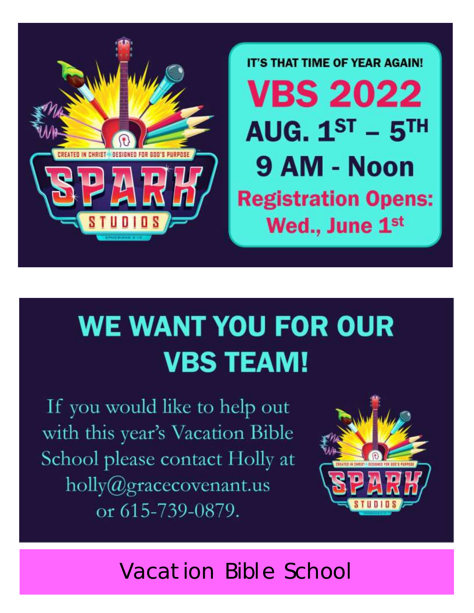

**IT'S THAT TIME OF YEAR AGAIN! VBS 2022** AUG.  $1^{ST}$  -  $5^{TH}$ 9 AM - Noon **Registration Opens:** Wed., June 1<sup>st</sup>

## **WE WANT YOU FOR OUR VBS TEAM!**

If you would like to help out with this year's Vacation Bible School please contact Holly at  $holly@gravecovenant.us$ or 615-739-0879.



Vacation Bible School